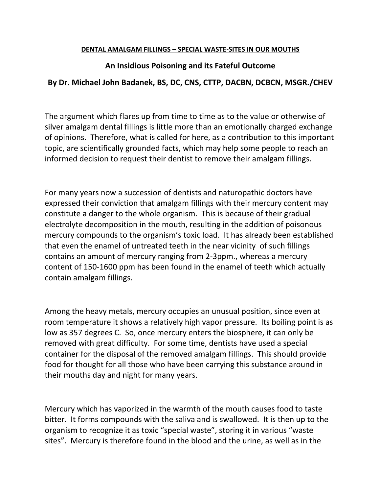#### **DENTAL AMALGAM FILLINGS – SPECIAL WASTE-SITES IN OUR MOUTHS**

#### **An Insidious Poisoning and its Fateful Outcome**

#### **By Dr. Michael John Badanek, BS, DC, CNS, CTTP, DACBN, DCBCN, MSGR./CHEV**

The argument which flares up from time to time as to the value or otherwise of silver amalgam dental fillings is little more than an emotionally charged exchange of opinions. Therefore, what is called for here, as a contribution to this important topic, are scientifically grounded facts, which may help some people to reach an informed decision to request their dentist to remove their amalgam fillings.

For many years now a succession of dentists and naturopathic doctors have expressed their conviction that amalgam fillings with their mercury content may constitute a danger to the whole organism. This is because of their gradual electrolyte decomposition in the mouth, resulting in the addition of poisonous mercury compounds to the organism's toxic load. It has already been established that even the enamel of untreated teeth in the near vicinity of such fillings contains an amount of mercury ranging from 2-3ppm., whereas a mercury content of 150-1600 ppm has been found in the enamel of teeth which actually contain amalgam fillings.

Among the heavy metals, mercury occupies an unusual position, since even at room temperature it shows a relatively high vapor pressure. Its boiling point is as low as 357 degrees C. So, once mercury enters the biosphere, it can only be removed with great difficulty. For some time, dentists have used a special container for the disposal of the removed amalgam fillings. This should provide food for thought for all those who have been carrying this substance around in their mouths day and night for many years.

Mercury which has vaporized in the warmth of the mouth causes food to taste bitter. It forms compounds with the saliva and is swallowed. It is then up to the organism to recognize it as toxic "special waste", storing it in various "waste sites". Mercury is therefore found in the blood and the urine, as well as in the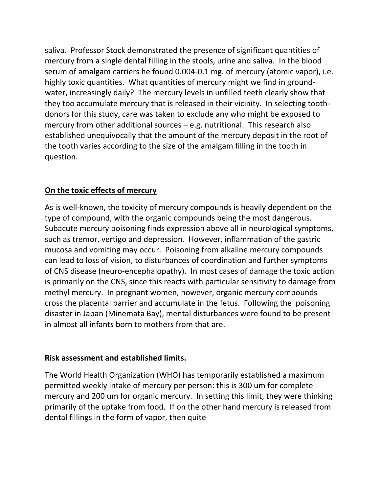saliva. Professor Stock demonstrated the presence of significant quantities of mercury from a single dental filling in the stools, urine and saliva. In the blood serum of amalgam carriers he found 0.004-0.1 mg. of mercury (atomic vapor), i.e. highly toxic quantities. What quantities of mercury might we find in groundwater, increasingly daily? The mercury levels in unfilled teeth clearly show that they too accumulate mercury that is released in their vicinity. In selecting toothdonors for this study, care was taken to exclude any who might be exposed to mercury from other additional sources – e.g. nutritional. This research also established unequivocally that the amount of the mercury deposit in the root of the tooth varies according to the size of the amalgam filling in the tooth in question.

### **On the toxic effects of mercury**

As is well-known, the toxicity of mercury compounds is heavily dependent on the type of compound, with the organic compounds being the most dangerous. Subacute mercury poisoning finds expression above all in neurological symptoms, such as tremor, vertigo and depression. However, inflammation of the gastric mucosa and vomiting may occur. Poisoning from alkaline mercury compounds can lead to loss of vision, to disturbances of coordination and further symptoms of CNS disease (neuro-encephalopathy). In most cases of damage the toxic action is primarily on the CNS, since this reacts with particular sensitivity to damage from methyl mercury. In pregnant women, however, organic mercury compounds cross the placental barrier and accumulate in the fetus. Following the poisoning disaster in Japan (Minemata Bay), mental disturbances were found to be present in almost all infants born to mothers from that are.

### **Risk assessment and established limits.**

The World Health Organization (WHO) has temporarily established a maximum permitted weekly intake of mercury per person: this is 300 um for complete mercury and 200 um for organic mercury. In setting this limit, they were thinking primarily of the uptake from food. If on the other hand mercury is released from dental fillings in the form of vapor, then quite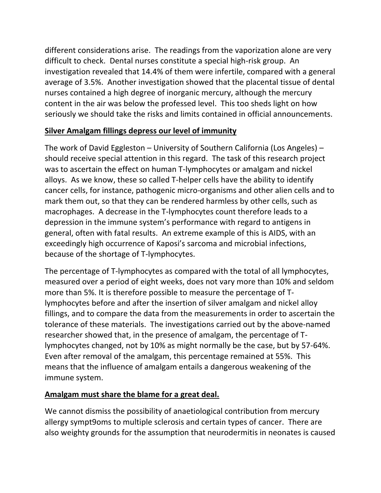different considerations arise. The readings from the vaporization alone are very difficult to check. Dental nurses constitute a special high-risk group. An investigation revealed that 14.4% of them were infertile, compared with a general average of 3.5%. Another investigation showed that the placental tissue of dental nurses contained a high degree of inorganic mercury, although the mercury content in the air was below the professed level. This too sheds light on how seriously we should take the risks and limits contained in official announcements.

## **Silver Amalgam fillings depress our level of immunity**

The work of David Eggleston – University of Southern California (Los Angeles) – should receive special attention in this regard. The task of this research project was to ascertain the effect on human T-lymphocytes or amalgam and nickel alloys. As we know, these so called T-helper cells have the ability to identify cancer cells, for instance, pathogenic micro-organisms and other alien cells and to mark them out, so that they can be rendered harmless by other cells, such as macrophages. A decrease in the T-lymphocytes count therefore leads to a depression in the immune system's performance with regard to antigens in general, often with fatal results. An extreme example of this is AIDS, with an exceedingly high occurrence of Kaposi's sarcoma and microbial infections, because of the shortage of T-lymphocytes.

The percentage of T-lymphocytes as compared with the total of all lymphocytes, measured over a period of eight weeks, does not vary more than 10% and seldom more than 5%. It is therefore possible to measure the percentage of Tlymphocytes before and after the insertion of silver amalgam and nickel alloy fillings, and to compare the data from the measurements in order to ascertain the tolerance of these materials. The investigations carried out by the above-named researcher showed that, in the presence of amalgam, the percentage of Tlymphocytes changed, not by 10% as might normally be the case, but by 57-64%. Even after removal of the amalgam, this percentage remained at 55%. This means that the influence of amalgam entails a dangerous weakening of the immune system.

# **Amalgam must share the blame for a great deal.**

We cannot dismiss the possibility of anaetiological contribution from mercury allergy sympt9oms to multiple sclerosis and certain types of cancer. There are also weighty grounds for the assumption that neurodermitis in neonates is caused